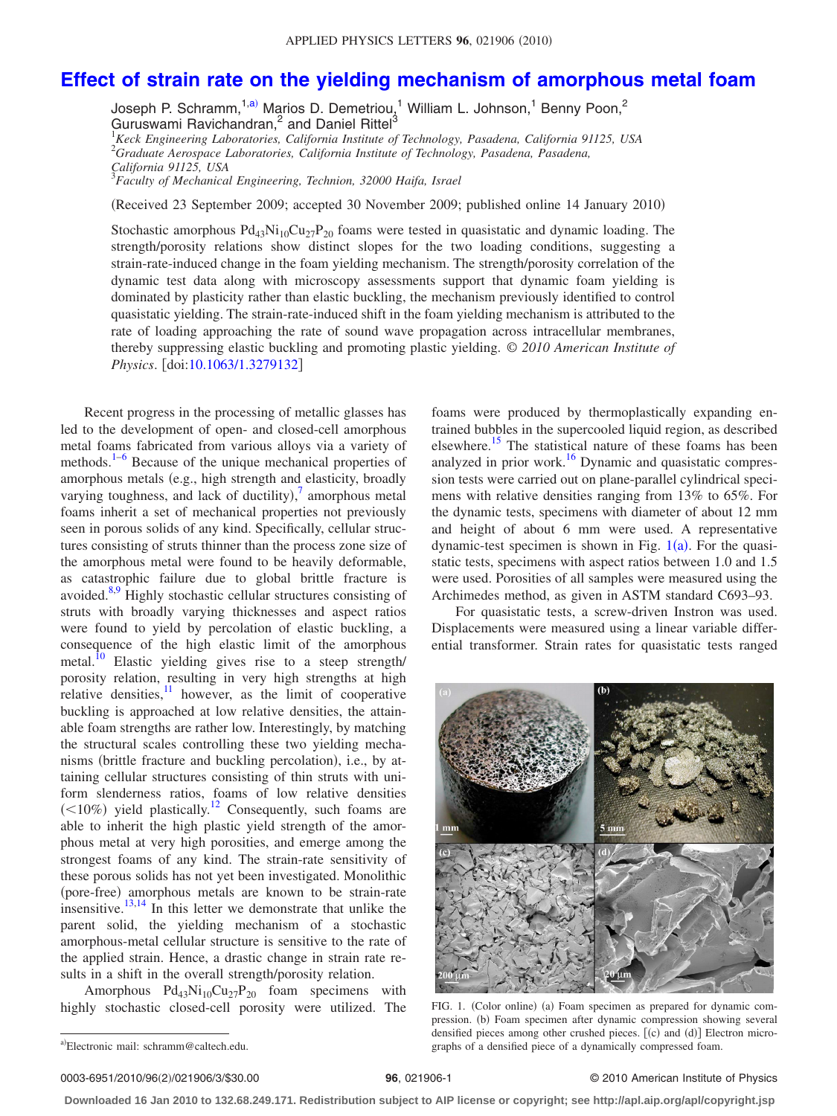## **[Effect of strain rate on the yielding mechanism of amorphous metal foam](http://dx.doi.org/10.1063/1.3279132)**

Joseph P. Schramm,<sup>1[,a](#page-0-0))</sup> Marios D. Demetriou,<sup>1</sup> William L. Johnson,<sup>1</sup> Benny Poon,<sup>2</sup> Guruswami Ravichandran,<sup>2</sup> and Daniel Rittel<sup>3</sup>

1 *Keck Engineering Laboratories, California Institute of Technology, Pasadena, California 91125, USA* 2 *Graduate Aerospace Laboratories, California Institute of Technology, Pasadena, Pasadena, California 91125, USA*

3 *Faculty of Mechanical Engineering, Technion, 32000 Haifa, Israel*

Received 23 September 2009; accepted 30 November 2009; published online 14 January 2010-

Stochastic amorphous  $Pd_{43}Ni_{10}Cu_{27}P_{20}$  foams were tested in quasistatic and dynamic loading. The strength/porosity relations show distinct slopes for the two loading conditions, suggesting a strain-rate-induced change in the foam yielding mechanism. The strength/porosity correlation of the dynamic test data along with microscopy assessments support that dynamic foam yielding is dominated by plasticity rather than elastic buckling, the mechanism previously identified to control quasistatic yielding. The strain-rate-induced shift in the foam yielding mechanism is attributed to the rate of loading approaching the rate of sound wave propagation across intracellular membranes, thereby suppressing elastic buckling and promoting plastic yielding. © *2010 American Institute of Physics*. [doi[:10.1063/1.3279132](http://dx.doi.org/10.1063/1.3279132)]

Recent progress in the processing of metallic glasses has led to the development of open- and closed-cell amorphous metal foams fabricated from various alloys via a variety of methods. $1-6$  $1-6$  Because of the unique mechanical properties of amorphous metals (e.g., high strength and elasticity, broadly varying toughness, and lack of ductility), $\frac{7}{7}$  $\frac{7}{7}$  $\frac{7}{7}$  amorphous metal foams inherit a set of mechanical properties not previously seen in porous solids of any kind. Specifically, cellular structures consisting of struts thinner than the process zone size of the amorphous metal were found to be heavily deformable, as catastrophic failure due to global brittle fracture is avoided. $8,9$  $8,9$  Highly stochastic cellular structures consisting of struts with broadly varying thicknesses and aspect ratios were found to yield by percolation of elastic buckling, a consequence of the high elastic limit of the amorphous metal.<sup>10</sup> Elastic yielding gives rise to a steep strength/ porosity relation, resulting in very high strengths at high relative densities, $\frac{11}{11}$  however, as the limit of cooperative buckling is approached at low relative densities, the attainable foam strengths are rather low. Interestingly, by matching the structural scales controlling these two yielding mechanisms (brittle fracture and buckling percolation), i.e., by attaining cellular structures consisting of thin struts with uniform slenderness ratios, foams of low relative densities  $(<10\%)$  yield plastically.<sup>12</sup> Consequently, such foams are able to inherit the high plastic yield strength of the amorphous metal at very high porosities, and emerge among the strongest foams of any kind. The strain-rate sensitivity of these porous solids has not yet been investigated. Monolithic (pore-free) amorphous metals are known to be strain-rate insensitive.<sup>13,[14](#page-2-9)</sup> In this letter we demonstrate that unlike the parent solid, the yielding mechanism of a stochastic amorphous-metal cellular structure is sensitive to the rate of the applied strain. Hence, a drastic change in strain rate results in a shift in the overall strength/porosity relation.

<span id="page-0-0"></span>Amorphous  $Pd_{43}Ni_{10}Cu_{27}P_{20}$  foam specimens with highly stochastic closed-cell porosity were utilized. The

foams were produced by thermoplastically expanding entrained bubbles in the supercooled liquid region, as described elsewhere.<sup>15</sup> The statistical nature of these foams has been analyzed in prior work.<sup>16</sup> Dynamic and quasistatic compression tests were carried out on plane-parallel cylindrical specimens with relative densities ranging from 13% to 65%. For the dynamic tests, specimens with diameter of about 12 mm and height of about 6 mm were used. A representative dynamic-test specimen is shown in Fig.  $1(a)$  $1(a)$ . For the quasistatic tests, specimens with aspect ratios between 1.0 and 1.5 were used. Porosities of all samples were measured using the Archimedes method, as given in ASTM standard C693–93.

<span id="page-0-1"></span>For quasistatic tests, a screw-driven Instron was used. Displacements were measured using a linear variable differential transformer. Strain rates for quasistatic tests ranged



FIG. 1. (Color online) (a) Foam specimen as prepared for dynamic compression. (b) Foam specimen after dynamic compression showing several densified pieces among other crushed pieces. [(c) and (d)] Electron micrographs of a densified piece of a dynamically compressed foam.

## **26**, 021906-1 © 2010 American Institute of Physics

**Downloaded 16 Jan 2010 to 132.68.249.171. Redistribution subject to AIP license or copyright; see http://apl.aip.org/apl/copyright.jsp**

a)Electronic mail: schramm@caltech.edu.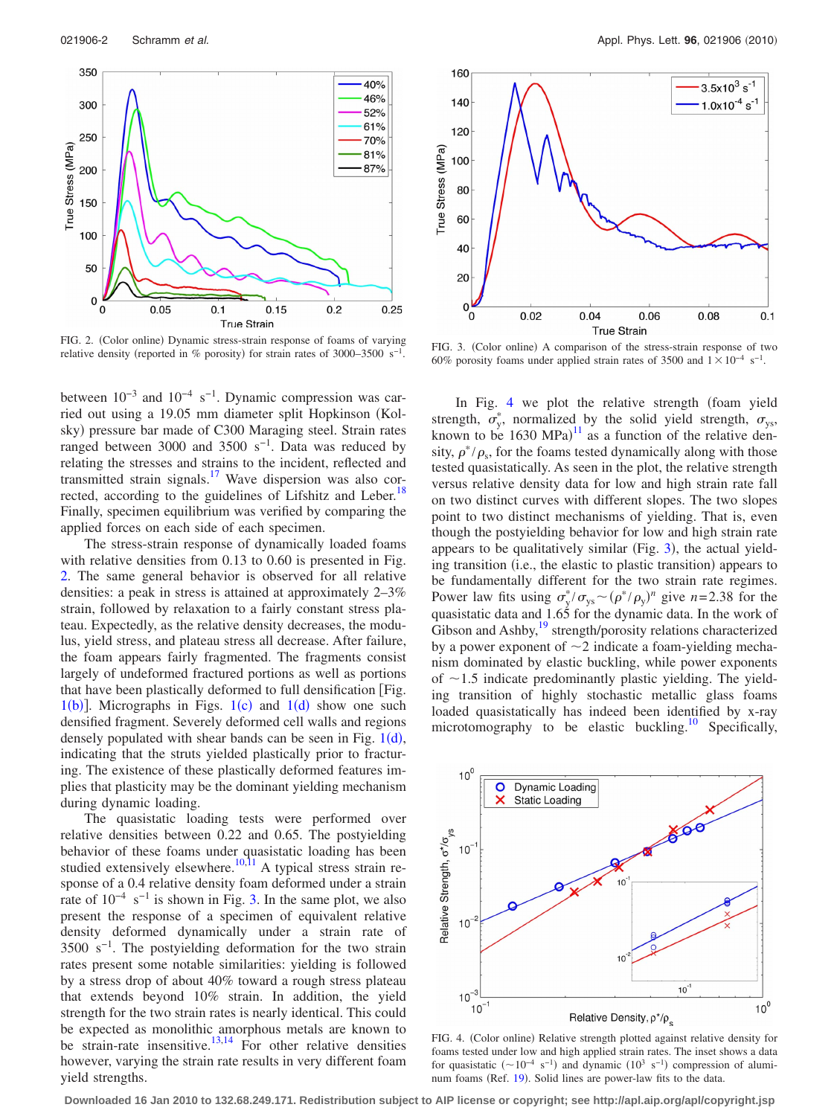<span id="page-1-0"></span>

FIG. 2. (Color online) Dynamic stress-strain response of foams of varying relative density (reported in % porosity) for strain rates of 3000–3500 s<sup>-1</sup>. FIG. 3. (Color online)

between  $10^{-3}$  and  $10^{-4}$  s<sup>-1</sup>. Dynamic compression was carried out using a 19.05 mm diameter split Hopkinson (Kolsky) pressure bar made of C300 Maraging steel. Strain rates ranged between 3000 and 3500 s<sup>-1</sup>. Data was reduced by relating the stresses and strains to the incident, reflected and transmitted strain signals[.17](#page-2-12) Wave dispersion was also corrected, according to the guidelines of Lifshitz and Leber.<sup>18</sup> Finally, specimen equilibrium was verified by comparing the applied forces on each side of each specimen.

The stress-strain response of dynamically loaded foams with relative densities from 0.13 to 0.60 is presented in Fig. [2.](#page-1-0) The same general behavior is observed for all relative densities: a peak in stress is attained at approximately 2–3% strain, followed by relaxation to a fairly constant stress plateau. Expectedly, as the relative density decreases, the modulus, yield stress, and plateau stress all decrease. After failure, the foam appears fairly fragmented. The fragments consist largely of undeformed fractured portions as well as portions that have been plastically deformed to full densification Fig.  $1(b)$  $1(b)$ ]. Micrographs in Figs.  $1(c)$  and  $1(d)$  show one such densified fragment. Severely deformed cell walls and regions densely populated with shear bands can be seen in Fig.  $1(d)$  $1(d)$ , indicating that the struts yielded plastically prior to fracturing. The existence of these plastically deformed features implies that plasticity may be the dominant yielding mechanism during dynamic loading.

The quasistatic loading tests were performed over relative densities between 0.22 and 0.65. The postyielding behavior of these foams under quasistatic loading has been studied extensively elsewhere.<sup>10,[11](#page-2-6)</sup> A typical stress strain response of a 0.4 relative density foam deformed under a strain rate of  $10^{-4}$  s<sup>-1</sup> is shown in Fig. [3.](#page-1-1) In the same plot, we also present the response of a specimen of equivalent relative density deformed dynamically under a strain rate of 3500 s−1. The postyielding deformation for the two strain rates present some notable similarities: yielding is followed by a stress drop of about 40% toward a rough stress plateau that extends beyond 10% strain. In addition, the yield strength for the two strain rates is nearly identical. This could be expected as monolithic amorphous metals are known to be strain-rate insensitive.<sup>13,[14](#page-2-9)</sup> For other relative densities however, varying the strain rate results in very different foam yield strengths.

<span id="page-1-1"></span>

FIG. 3. (Color online) A comparison of the stress-strain response of two 60% porosity foams under applied strain rates of 3500 and  $1 \times 10^{-4}$  s<sup>-1</sup>.

In Fig. [4](#page-1-2) we plot the relative strength (foam yield strength,  $\sigma_y^*$ , normalized by the solid yield strength,  $\sigma_{ys}$ , known to be  $1630 \text{ MPa}$ <sup>[11](#page-2-6)</sup> as a function of the relative density,  $\rho^*/\rho_s$ , for the foams tested dynamically along with those tested quasistatically. As seen in the plot, the relative strength versus relative density data for low and high strain rate fall on two distinct curves with different slopes. The two slopes point to two distinct mechanisms of yielding. That is, even though the postyielding behavior for low and high strain rate appears to be qualitatively similar (Fig.  $3$ ), the actual yielding transition (i.e., the elastic to plastic transition) appears to be fundamentally different for the two strain rate regimes. Power law fits using  $\sigma_y^*/\sigma_{ys} \sim (\rho^*/\rho_y)^n$  give *n*=2.38 for the quasistatic data and 1.65 for the dynamic data. In the work of Gibson and Ashby,<sup>19</sup> strength/porosity relations characterized by a power exponent of  $\sim$ 2 indicate a foam-yielding mechanism dominated by elastic buckling, while power exponents of  $\sim$ 1.5 indicate predominantly plastic yielding. The yielding transition of highly stochastic metallic glass foams loaded quasistatically has indeed been identified by x-ray microtomography to be elastic buckling.<sup>10</sup> Specifically,

<span id="page-1-2"></span>

FIG. 4. (Color online) Relative strength plotted against relative density for foams tested under low and high applied strain rates. The inset shows a data for quasistatic  $({\sim}10^{-4} \text{ s}^{-1})$  and dynamic  $(10^3 \text{ s}^{-1})$  compression of alumi-num foams (Ref. [19](#page-2-14)). Solid lines are power-law fits to the data.

**Downloaded 16 Jan 2010 to 132.68.249.171. Redistribution subject to AIP license or copyright; see http://apl.aip.org/apl/copyright.jsp**